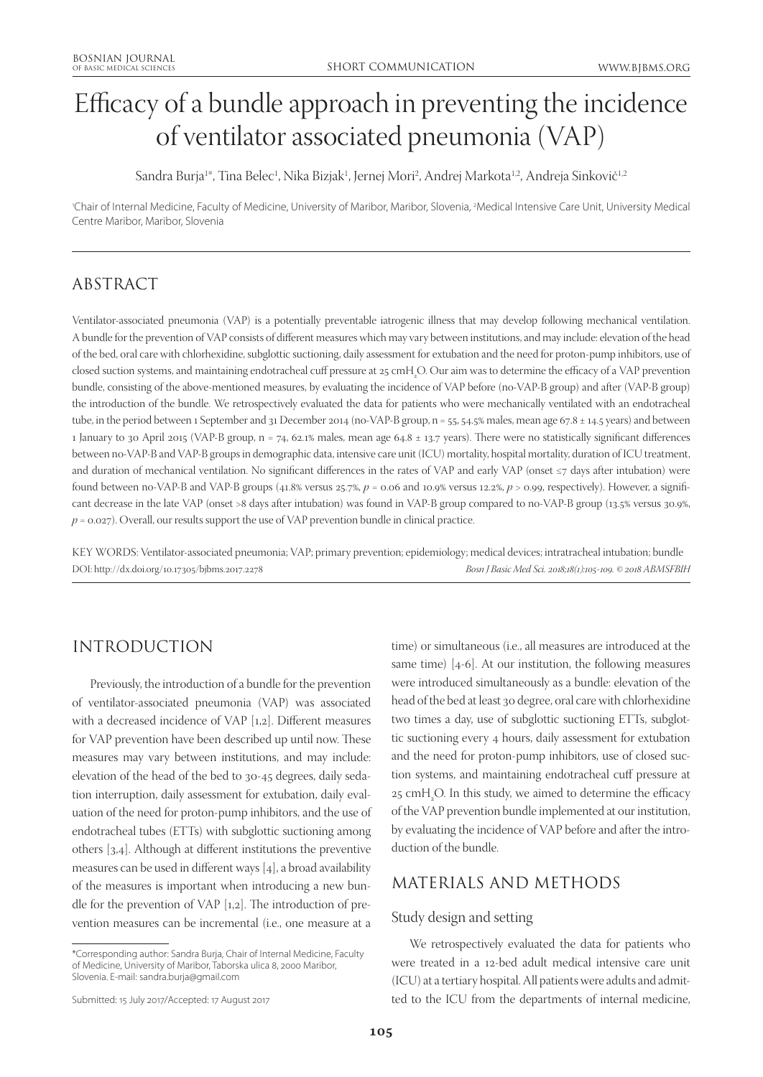# Efficacy of a bundle approach in preventing the incidence of ventilator associated pneumonia (VAP)

Sandra Burja<sup>1</sup>\*, Tina Belec<sup>1</sup>, Nika Bizjak<sup>1</sup>, Jernej Mori<sup>2</sup>, Andrej Markota<sup>1,2</sup>, Andreja Sinkovič<sup>1,2</sup>

'Chair of Internal Medicine, Faculty of Medicine, University of Maribor, Maribor, Slovenia, <sup>2</sup>Medical Intensive Care Unit, University Medical Centre Maribor, Maribor, Slovenia

# ABSTRACT

Ventilator-associated pneumonia (VAP) is a potentially preventable iatrogenic illness that may develop following mechanical ventilation. A bundle for the prevention of VAP consists of different measures which may vary between institutions, and may include: elevation of the head of the bed, oral care with chlorhexidine, subglottic suctioning, daily assessment for extubation and the need for proton-pump inhibitors, use of closed suction systems, and maintaining endotracheal cuff pressure at 25 cmH<sub>2</sub>O. Our aim was to determine the efficacy of a VAP prevention bundle, consisting of the above-mentioned measures, by evaluating the incidence of VAP before (no-VAP-B group) and after (VAP-B group) the introduction of the bundle. We retrospectively evaluated the data for patients who were mechanically ventilated with an endotracheal tube, in the period between 1 September and 31 December 2014 (no-VAP-B group, n = 55, 54.5% males, mean age 67.8 ± 14.5 years) and between 1 January to 30 April 2015 (VAP-B group, n = 74, 62.1% males, mean age 64.8 ± 13.7 years). There were no statistically significant differences between no-VAP-B and VAP-B groups in demographic data, intensive care unit (ICU) mortality, hospital mortality, duration of ICU treatment, and duration of mechanical ventilation. No significant differences in the rates of VAP and early VAP (onset ≤7 days after intubation) were found between no-VAP-B and VAP-B groups (41.8% versus 25.7%, *p* = 0.06 and 10.9% versus 12.2%, *p* > 0.99, respectively). However, a significant decrease in the late VAP (onset >8 days after intubation) was found in VAP-B group compared to no-VAP-B group (13.5% versus 30.9%,  $p = 0.027$ ). Overall, our results support the use of VAP prevention bundle in clinical practice.

KEY WORDS: Ventilator-associated pneumonia; VAP; primary prevention; epidemiology; medical devices; intratracheal intubation; bundle DOI: http://dx.doi.org/10.17305/bjbms.2017.2278 *Bosn J Basic Med Sci. 2018;18(1):105-109. © 2018 ABMSFBIH*

## INTRODUCTION

Previously, the introduction of a bundle for the prevention of ventilator-associated pneumonia (VAP) was associated with a decreased incidence of VAP [1,2]. Different measures for VAP prevention have been described up until now. These measures may vary between institutions, and may include: elevation of the head of the bed to 30-45 degrees, daily sedation interruption, daily assessment for extubation, daily evaluation of the need for proton-pump inhibitors, and the use of endotracheal tubes (ETTs) with subglottic suctioning among others [3,4]. Although at different institutions the preventive measures can be used in different ways [4], a broad availability of the measures is important when introducing a new bundle for the prevention of VAP  $[1,2]$ . The introduction of prevention measures can be incremental (i.e., one measure at a

time) or simultaneous (i.e., all measures are introduced at the same time) [4-6]. At our institution, the following measures were introduced simultaneously as a bundle: elevation of the head of the bed at least 30 degree, oral care with chlorhexidine two times a day, use of subglottic suctioning ETTs, subglottic suctioning every 4 hours, daily assessment for extubation and the need for proton-pump inhibitors, use of closed suction systems, and maintaining endotracheal cuff pressure at  $25 \text{ cm} + 20$ . In this study, we aimed to determine the efficacy of the VAP prevention bundle implemented at our institution, by evaluating the incidence of VAP before and after the introduction of the bundle.

# MATERIALS AND METHODS

#### Study design and setting

We retrospectively evaluated the data for patients who were treated in a 12-bed adult medical intensive care unit (ICU) at a tertiary hospital. All patients were adults and admitted to the ICU from the departments of internal medicine,

<sup>\*</sup>Corresponding author: Sandra Burja, Chair of Internal Medicine, Faculty of Medicine, University of Maribor, Taborska ulica 8, 2000 Maribor, Slovenia. E-mail: sandra.burja@gmail.com

Submitted: 15 July 2017/Accepted: 17 August 2017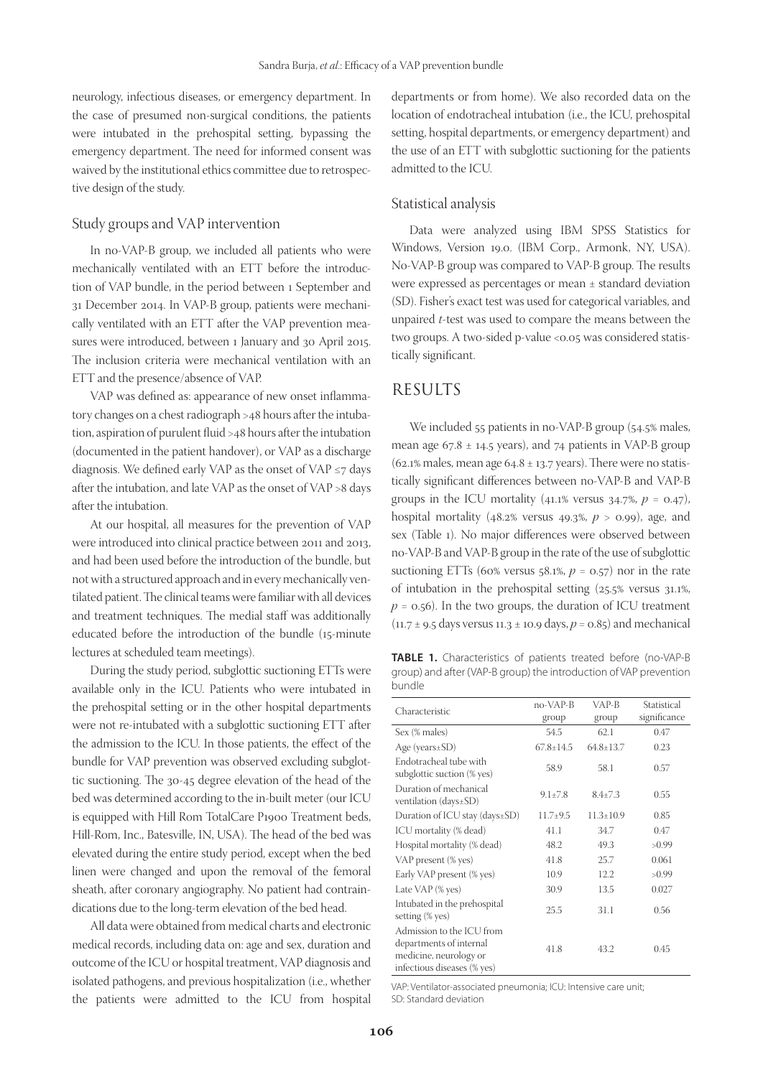neurology, infectious diseases, or emergency department. In the case of presumed non-surgical conditions, the patients were intubated in the prehospital setting, bypassing the emergency department. The need for informed consent was waived by the institutional ethics committee due to retrospective design of the study.

#### Study groups and VAP intervention

In no-VAP-B group, we included all patients who were mechanically ventilated with an ETT before the introduction of VAP bundle, in the period between 1 September and 31 December 2014. In VAP-B group, patients were mechanically ventilated with an ETT after the VAP prevention measures were introduced, between 1 January and 30 April 2015. The inclusion criteria were mechanical ventilation with an ETT and the presence/absence of VAP.

VAP was defined as: appearance of new onset inflammatory changes on a chest radiograph >48 hours after the intubation, aspiration of purulent fluid >48 hours after the intubation (documented in the patient handover), or VAP as a discharge diagnosis. We defined early VAP as the onset of VAP  $\leq$ 7 days after the intubation, and late VAP as the onset of VAP >8 days after the intubation.

At our hospital, all measures for the prevention of VAP were introduced into clinical practice between 2011 and 2013, and had been used before the introduction of the bundle, but not with a structured approach and in every mechanically ventilated patient. The clinical teams were familiar with all devices and treatment techniques. The medial staff was additionally educated before the introduction of the bundle (15-minute lectures at scheduled team meetings).

During the study period, subglottic suctioning ETTs were available only in the ICU. Patients who were intubated in the prehospital setting or in the other hospital departments were not re-intubated with a subglottic suctioning ETT after the admission to the ICU. In those patients, the effect of the bundle for VAP prevention was observed excluding subglottic suctioning. The 30-45 degree elevation of the head of the bed was determined according to the in-built meter (our ICU is equipped with Hill Rom TotalCare P1900 Treatment beds, Hill-Rom, Inc., Batesville, IN, USA). The head of the bed was elevated during the entire study period, except when the bed linen were changed and upon the removal of the femoral sheath, after coronary angiography. No patient had contraindications due to the long-term elevation of the bed head.

All data were obtained from medical charts and electronic medical records, including data on: age and sex, duration and outcome of the ICU or hospital treatment, VAP diagnosis and isolated pathogens, and previous hospitalization (i.e., whether the patients were admitted to the ICU from hospital departments or from home). We also recorded data on the location of endotracheal intubation (i.e., the ICU, prehospital setting, hospital departments, or emergency department) and the use of an ETT with subglottic suctioning for the patients admitted to the ICU.

#### Statistical analysis

Data were analyzed using IBM SPSS Statistics for Windows, Version 19.0. (IBM Corp., Armonk, NY, USA). No-VAP-B group was compared to VAP-B group. The results were expressed as percentages or mean ± standard deviation (SD). Fisher's exact test was used for categorical variables, and unpaired *t*-test was used to compare the means between the two groups. A two-sided p-value <0.05 was considered statistically significant.

## RESULTS

We included 55 patients in no-VAP-B group (54.5% males, mean age  $67.8 \pm 14.5$  years), and 74 patients in VAP-B group (62.1% males, mean age 64.8  $\pm$  13.7 years). There were no statistically significant differences between no-VAP-B and VAP-B groups in the ICU mortality (41.1% versus  $34.7\%$ ,  $p = 0.47$ ), hospital mortality (48.2% versus 49.3%,  $p > 0.99$ ), age, and sex (Table 1). No major differences were observed between no-VAP-B and VAP-B group in the rate of the use of subglottic suctioning ETTs (60% versus  $58.1\%$ ,  $p = 0.57$ ) nor in the rate of intubation in the prehospital setting (25.5% versus 31.1%,  $p = 0.56$ ). In the two groups, the duration of ICU treatment (11.7 ± 9.5 days versus 11.3 ± 10.9 days, *p* = 0.85) and mechanical

**TABLE 1.** Characteristics of patients treated before (no-VAP-B group) and after (VAP-B group) the introduction of VAP prevention bundle

| Characteristic                                                                                                | $no-VAP-B$      | VAP-B           | Statistical  |
|---------------------------------------------------------------------------------------------------------------|-----------------|-----------------|--------------|
|                                                                                                               | group           | group           | significance |
| Sex (% males)                                                                                                 | 54.5            | 62.1            | 0.47         |
| Age ( $years±SD$ )                                                                                            | $67.8 \pm 14.5$ | $64.8 \pm 13.7$ | 0.23         |
| Endotracheal tube with<br>subglottic suction (% yes)                                                          | 58.9            | 58.1            | 0.57         |
| Duration of mechanical<br>ventilation (days±SD)                                                               | $9.1 \pm 7.8$   | $8.4 \pm 7.3$   | 0.55         |
| Duration of ICU stay (days±SD)                                                                                | $11.7+9.5$      | $11.3 \pm 10.9$ | 0.85         |
| ICU mortality (% dead)                                                                                        | 41.1            | 34.7            | 0.47         |
| Hospital mortality (% dead)                                                                                   | 48.2            | 49.3            | >0.99        |
| VAP present (% yes)                                                                                           | 41.8            | 25.7            | 0.061        |
| Early VAP present (% yes)                                                                                     | 10.9            | 12.2            | >0.99        |
| Late VAP (% yes)                                                                                              | 30.9            | 13.5            | 0.027        |
| Intubated in the prehospital<br>setting (% yes)                                                               | 25.5            | 31.1            | 0.56         |
| Admission to the ICU from<br>departments of internal<br>medicine, neurology or<br>infectious diseases (% yes) | 41.8            | 43.2            | 0.45         |

VAP: Ventilator-associated pneumonia; ICU: Intensive care unit; SD: Standard deviation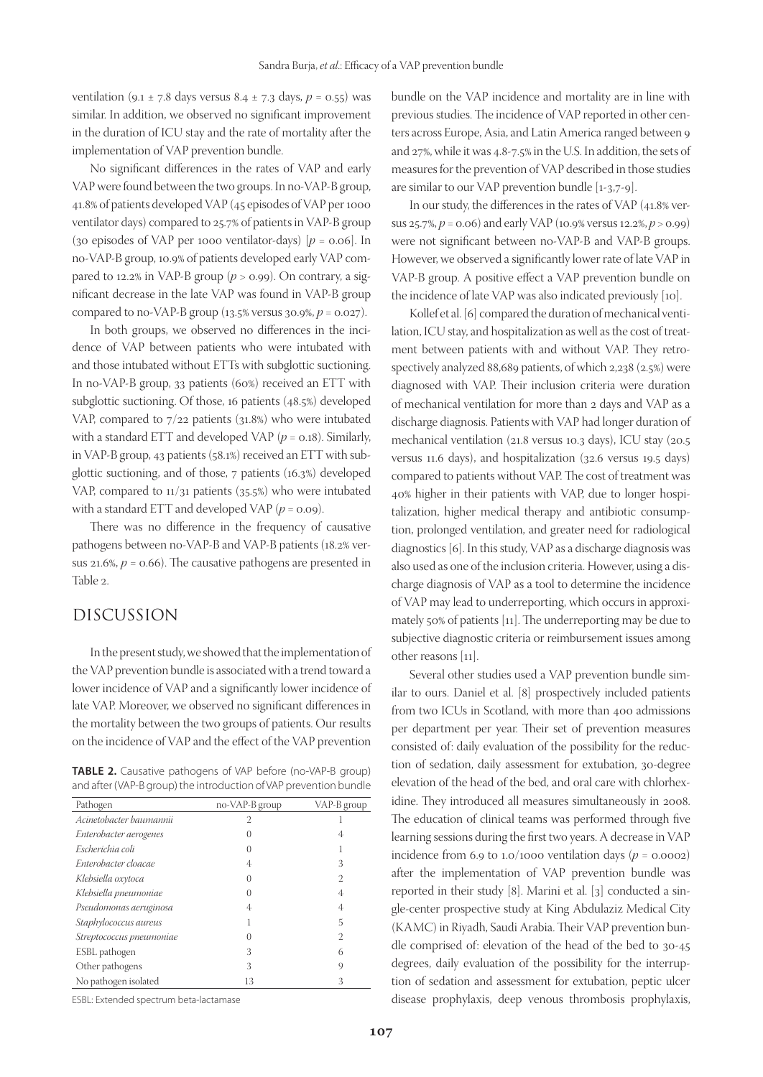ventilation (9.1  $\pm$  7.8 days versus 8.4  $\pm$  7.3 days,  $p = 0.55$ ) was similar. In addition, we observed no significant improvement in the duration of ICU stay and the rate of mortality after the implementation of VAP prevention bundle.

No significant differences in the rates of VAP and early VAP were found between the two groups. In no-VAP-B group, 41.8% of patients developed VAP (45 episodes of VAP per 1000 ventilator days) compared to 25.7% of patients in VAP-B group (30 episodes of VAP per 1000 ventilator-days)  $[p = 0.06]$ . In no-VAP-B group, 10.9% of patients developed early VAP compared to 12.2% in VAP-B group  $(p > 0.99)$ . On contrary, a significant decrease in the late VAP was found in VAP-B group compared to no-VAP-B group  $(13.5\% \text{ versus } 30.9\%, p = 0.027)$ .

In both groups, we observed no differences in the incidence of VAP between patients who were intubated with and those intubated without ETTs with subglottic suctioning. In no-VAP-B group, 33 patients (60%) received an ETT with subglottic suctioning. Of those, 16 patients (48.5%) developed VAP, compared to 7/22 patients (31.8%) who were intubated with a standard ETT and developed VAP ( $p = 0.18$ ). Similarly, in VAP-B group, 43 patients (58.1%) received an ETT with subglottic suctioning, and of those, 7 patients (16.3%) developed VAP, compared to 11/31 patients (35.5%) who were intubated with a standard ETT and developed VAP  $(p = 0.09)$ .

There was no difference in the frequency of causative pathogens between no-VAP-B and VAP-B patients (18.2% versus 21.6%,  $p = 0.66$ ). The causative pathogens are presented in Table 2.

## DISCUSSION

In the present study, we showed that the implementation of the VAP prevention bundle is associated with a trend toward a lower incidence of VAP and a significantly lower incidence of late VAP. Moreover, we observed no significant differences in the mortality between the two groups of patients. Our results on the incidence of VAP and the effect of the VAP prevention

**TABLE 2.** Causative pathogens of VAP before (no-VAP-B group) and after (VAP-B group) the introduction of VAP prevention bundle

| Pathogen                 | no-VAP-B group | VAP-B group |
|--------------------------|----------------|-------------|
| Acinetobacter baumannii  |                |             |
| Enterobacter aerogenes   | 0              | 4           |
| Escherichia coli         | 0              |             |
| Enterobacter cloacae     | 4              | 3           |
| Klebsiella oxytoca       | 0              | 2           |
| Klebsiella pneumoniae    | 0              | 4           |
| Pseudomonas aeruginosa   | 4              | 4           |
| Staphylococcus aureus    |                | 5           |
| Streptococcus pneumoniae | 0              | 2           |
| ESBL pathogen            | 3              | 6           |
| Other pathogens          | 3              | 9           |
| No pathogen isolated     | 13             | 3           |

ESBL: Extended spectrum beta-lactamase

bundle on the VAP incidence and mortality are in line with previous studies. The incidence of VAP reported in other centers across Europe, Asia, and Latin America ranged between 9 and 27%, while it was 4.8-7.5% in the U.S. In addition, the sets of measures for the prevention of VAP described in those studies are similar to our VAP prevention bundle [1-3,7-9].

In our study, the differences in the rates of VAP (41.8% versus 25.7%, *p* = 0.06) and early VAP (10.9% versus 12.2%, *p* > 0.99) were not significant between no-VAP-B and VAP-B groups. However, we observed a significantly lower rate of late VAP in VAP-B group. A positive effect a VAP prevention bundle on the incidence of late VAP was also indicated previously [10].

Kollef et al. [6] compared the duration of mechanical ventilation, ICU stay, and hospitalization as well as the cost of treatment between patients with and without VAP. They retrospectively analyzed 88,689 patients, of which 2,238 (2.5%) were diagnosed with VAP. Their inclusion criteria were duration of mechanical ventilation for more than 2 days and VAP as a discharge diagnosis. Patients with VAP had longer duration of mechanical ventilation (21.8 versus 10.3 days), ICU stay (20.5 versus 11.6 days), and hospitalization (32.6 versus 19.5 days) compared to patients without VAP. The cost of treatment was 40% higher in their patients with VAP, due to longer hospitalization, higher medical therapy and antibiotic consumption, prolonged ventilation, and greater need for radiological diagnostics [6]. In this study, VAP as a discharge diagnosis was also used as one of the inclusion criteria. However, using a discharge diagnosis of VAP as a tool to determine the incidence of VAP may lead to underreporting, which occurs in approximately 50% of patients [11]. The underreporting may be due to subjective diagnostic criteria or reimbursement issues among other reasons [11].

Several other studies used a VAP prevention bundle similar to ours. Daniel et al. [8] prospectively included patients from two ICUs in Scotland, with more than 400 admissions per department per year. Their set of prevention measures consisted of: daily evaluation of the possibility for the reduction of sedation, daily assessment for extubation, 30-degree elevation of the head of the bed, and oral care with chlorhexidine. They introduced all measures simultaneously in 2008. The education of clinical teams was performed through five learning sessions during the first two years. A decrease in VAP incidence from 6.9 to  $1.0/1000$  ventilation days ( $p = 0.0002$ ) after the implementation of VAP prevention bundle was reported in their study [8]. Marini et al. [3] conducted a single-center prospective study at King Abdulaziz Medical City (KAMC) in Riyadh, Saudi Arabia. Their VAP prevention bundle comprised of: elevation of the head of the bed to 30-45 degrees, daily evaluation of the possibility for the interruption of sedation and assessment for extubation, peptic ulcer disease prophylaxis, deep venous thrombosis prophylaxis,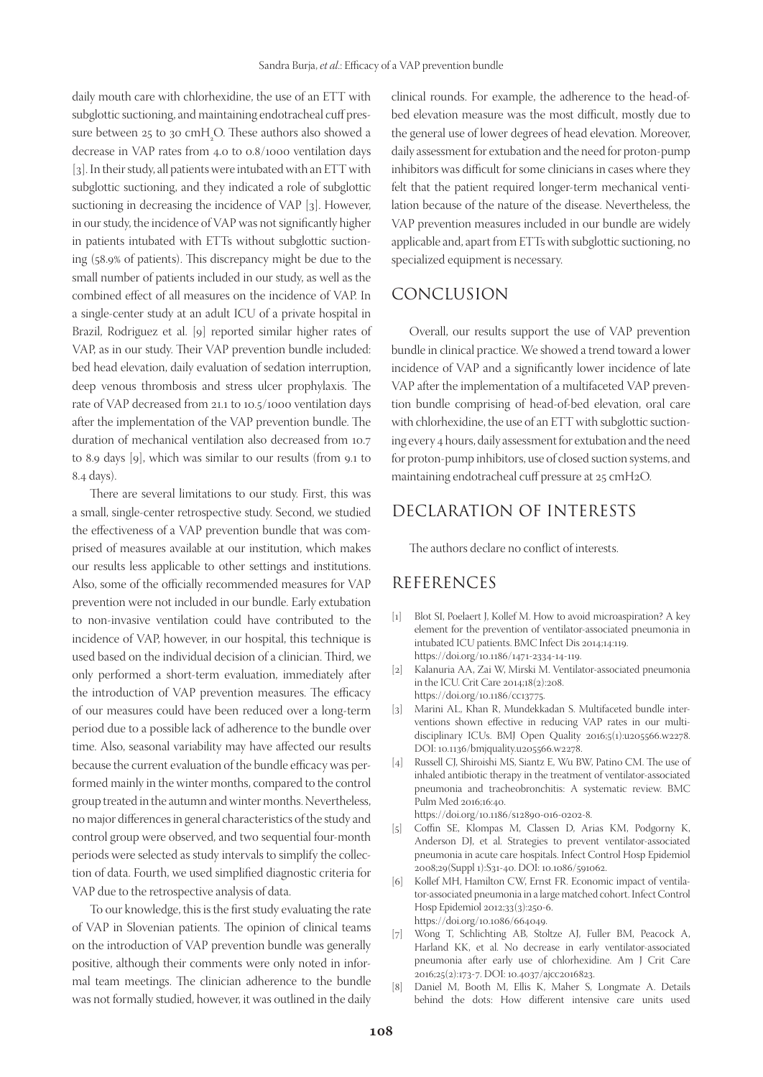daily mouth care with chlorhexidine, the use of an ETT with subglottic suctioning, and maintaining endotracheal cuff pressure between 25 to 30  $\text{cmH}_{2}$ O. These authors also showed a decrease in VAP rates from 4.0 to 0.8/1000 ventilation days [3]. In their study, all patients were intubated with an ETT with subglottic suctioning, and they indicated a role of subglottic suctioning in decreasing the incidence of VAP [3]. However, in our study, the incidence of VAP was not significantly higher in patients intubated with ETTs without subglottic suctioning (58.9% of patients). This discrepancy might be due to the small number of patients included in our study, as well as the combined effect of all measures on the incidence of VAP. In a single-center study at an adult ICU of a private hospital in Brazil, Rodriguez et al. [9] reported similar higher rates of VAP, as in our study. Their VAP prevention bundle included: bed head elevation, daily evaluation of sedation interruption, deep venous thrombosis and stress ulcer prophylaxis. The rate of VAP decreased from 21.1 to 10.5/1000 ventilation days after the implementation of the VAP prevention bundle. The duration of mechanical ventilation also decreased from 10.7 to 8.9 days [9], which was similar to our results (from 9.1 to 8.4 days).

There are several limitations to our study. First, this was a small, single-center retrospective study. Second, we studied the effectiveness of a VAP prevention bundle that was comprised of measures available at our institution, which makes our results less applicable to other settings and institutions. Also, some of the officially recommended measures for VAP prevention were not included in our bundle. Early extubation to non-invasive ventilation could have contributed to the incidence of VAP, however, in our hospital, this technique is used based on the individual decision of a clinician. Third, we only performed a short-term evaluation, immediately after the introduction of VAP prevention measures. The efficacy of our measures could have been reduced over a long-term period due to a possible lack of adherence to the bundle over time. Also, seasonal variability may have affected our results because the current evaluation of the bundle efficacy was performed mainly in the winter months, compared to the control group treated in the autumn and winter months. Nevertheless, no major differences in general characteristics of the study and control group were observed, and two sequential four-month periods were selected as study intervals to simplify the collection of data. Fourth, we used simplified diagnostic criteria for VAP due to the retrospective analysis of data.

To our knowledge, this is the first study evaluating the rate of VAP in Slovenian patients. The opinion of clinical teams on the introduction of VAP prevention bundle was generally positive, although their comments were only noted in informal team meetings. The clinician adherence to the bundle was not formally studied, however, it was outlined in the daily

clinical rounds. For example, the adherence to the head-ofbed elevation measure was the most difficult, mostly due to the general use of lower degrees of head elevation. Moreover, daily assessment for extubation and the need for proton-pump inhibitors was difficult for some clinicians in cases where they felt that the patient required longer-term mechanical ventilation because of the nature of the disease. Nevertheless, the VAP prevention measures included in our bundle are widely applicable and, apart from ETTs with subglottic suctioning, no specialized equipment is necessary.

### CONCLUSION

Overall, our results support the use of VAP prevention bundle in clinical practice. We showed a trend toward a lower incidence of VAP and a significantly lower incidence of late VAP after the implementation of a multifaceted VAP prevention bundle comprising of head-of-bed elevation, oral care with chlorhexidine, the use of an ETT with subglottic suctioning every 4 hours, daily assessment for extubation and the need for proton-pump inhibitors, use of closed suction systems, and maintaining endotracheal cuff pressure at 25 cmH2O.

## DECLARATION OF INTERESTS

The authors declare no conflict of interests.

## REFERENCES

- [1] Blot SI, Poelaert J, Kollef M. How to avoid microaspiration? A key element for the prevention of ventilator-associated pneumonia in intubated ICU patients. BMC Infect Dis 2014;14:119. https://doi.org/10.1186/1471-2334-14-119.
- [2] Kalanuria AA, Zai W, Mirski M. Ventilator-associated pneumonia in the ICU. Crit Care 2014;18(2):208. https://doi.org/10.1186/cc13775.
- [3] Marini AL, Khan R, Mundekkadan S. Multifaceted bundle interventions shown effective in reducing VAP rates in our multidisciplinary ICUs. BMJ Open Quality 2016;5(1):u205566.w2278. DOI: 10.1136/bmjquality.u205566.w2278.
- [4] Russell CJ, Shiroishi MS, Siantz E, Wu BW, Patino CM. The use of inhaled antibiotic therapy in the treatment of ventilator-associated pneumonia and tracheobronchitis: A systematic review. BMC Pulm Med 2016;16:40.

https://doi.org/10.1186/s12890-016-0202-8.

- [5] Coffin SE, Klompas M, Classen D, Arias KM, Podgorny K, Anderson DJ, et al. Strategies to prevent ventilator-associated pneumonia in acute care hospitals. Infect Control Hosp Epidemiol 2008;29(Suppl 1):S31-40. DOI: 10.1086/591062.
- [6] Kollef MH, Hamilton CW, Ernst FR. Economic impact of ventilator-associated pneumonia in a large matched cohort. Infect Control Hosp Epidemiol 2012;33(3):250-6. https://doi.org/10.1086/664049.
- [7] Wong T, Schlichting AB, Stoltze AJ, Fuller BM, Peacock A, Harland KK, et al. No decrease in early ventilator-associated pneumonia after early use of chlorhexidine. Am J Crit Care 2016;25(2):173-7. DOI: 10.4037/ajcc2016823.
- [8] Daniel M, Booth M, Ellis K, Maher S, Longmate A. Details behind the dots: How different intensive care units used